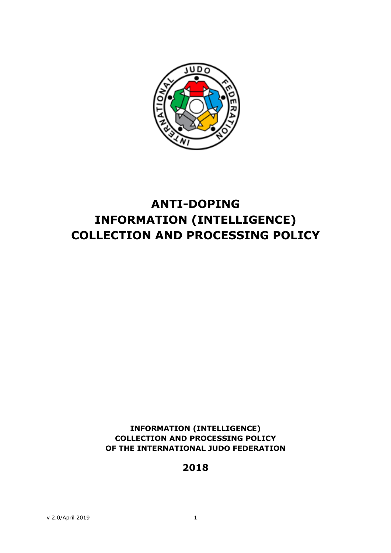

# **ANTI-DOPING INFORMATION (INTELLIGENCE) COLLECTION AND PROCESSING POLICY**

**INFORMATION (INTELLIGENCE) COLLECTION AND PROCESSING POLICY OF THE INTERNATIONAL JUDO FEDERATION**

**2018**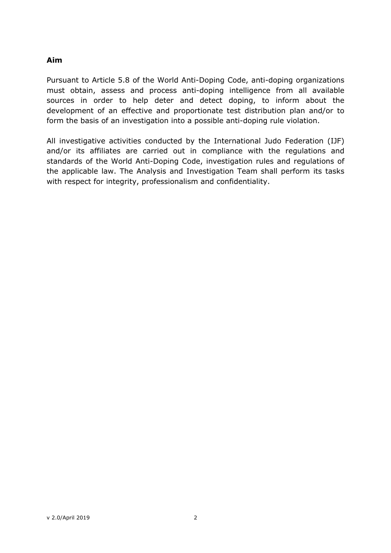#### **Aim**

Pursuant to Article 5.8 of the World Anti-Doping Code, anti-doping organizations must obtain, assess and process anti-doping intelligence from all available sources in order to help deter and detect doping, to inform about the development of an effective and proportionate test distribution plan and/or to form the basis of an investigation into a possible anti-doping rule violation.

All investigative activities conducted by the International Judo Federation (IJF) and/or its affiliates are carried out in compliance with the regulations and standards of the World Anti-Doping Code, investigation rules and regulations of the applicable law. The Analysis and Investigation Team shall perform its tasks with respect for integrity, professionalism and confidentiality.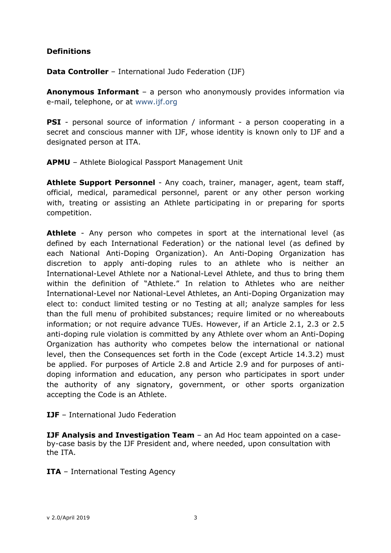## **Definitions**

**Data Controller** – International Judo Federation (IJF)

**Anonymous Informant** – a person who anonymously provides information via e-mail, telephone, or at www.ijf.org

**PSI** - personal source of information / informant - a person cooperating in a secret and conscious manner with IJF, whose identity is known only to IJF and a designated person at ITA.

**APMU** – Athlete Biological Passport Management Unit

**Athlete Support Personnel** - Any coach, trainer, manager, agent, team staff, official, medical, paramedical personnel, parent or any other person working with, treating or assisting an Athlete participating in or preparing for sports competition.

Athlete - Any person who competes in sport at the international level (as defined by each International Federation) or the national level (as defined by each National Anti-Doping Organization). An Anti-Doping Organization has discretion to apply anti-doping rules to an athlete who is neither an International-Level Athlete nor a National-Level Athlete, and thus to bring them within the definition of "Athlete." In relation to Athletes who are neither International-Level nor National-Level Athletes, an Anti-Doping Organization may elect to: conduct limited testing or no Testing at all; analyze samples for less than the full menu of prohibited substances; require limited or no whereabouts information; or not require advance TUEs. However, if an Article 2.1, 2.3 or 2.5 anti-doping rule violation is committed by any Athlete over whom an Anti-Doping Organization has authority who competes below the international or national level, then the Consequences set forth in the Code (except Article 14.3.2) must be applied. For purposes of Article 2.8 and Article 2.9 and for purposes of antidoping information and education, any person who participates in sport under the authority of any signatory, government, or other sports organization accepting the Code is an Athlete.

**IJF** – International Judo Federation

**IJF Analysis and Investigation Team** – an Ad Hoc team appointed on a caseby-case basis by the IJF President and, where needed, upon consultation with the ITA.

**ITA** – International Testing Agency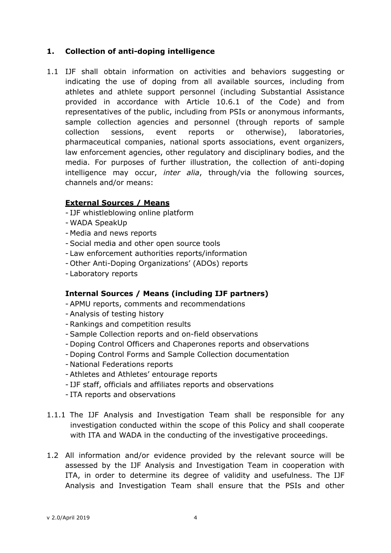## **1. Collection of anti-doping intelligence**

1.1 IJF shall obtain information on activities and behaviors suggesting or indicating the use of doping from all available sources, including from athletes and athlete support personnel (including Substantial Assistance provided in accordance with Article 10.6.1 of the Code) and from representatives of the public, including from PSIs or anonymous informants, sample collection agencies and personnel (through reports of sample collection sessions, event reports or otherwise), laboratories, pharmaceutical companies, national sports associations, event organizers, law enforcement agencies, other regulatory and disciplinary bodies, and the media. For purposes of further illustration, the collection of anti-doping intelligence may occur, *inter alia*, through/via the following sources, channels and/or means:

#### **External Sources / Means**

- IJF whistleblowing online platform
- WADA SpeakUp
- Media and news reports
- Social media and other open source tools
- Law enforcement authorities reports/information
- Other Anti-Doping Organizations' (ADOs) reports
- Laboratory reports

#### **Internal Sources / Means (including IJF partners)**

- APMU reports, comments and recommendations
- Analysis of testing history
- Rankings and competition results
- Sample Collection reports and on-field observations
- Doping Control Officers and Chaperones reports and observations
- Doping Control Forms and Sample Collection documentation
- National Federations reports
- Athletes and Athletes' entourage reports
- IJF staff, officials and affiliates reports and observations
- ITA reports and observations
- 1.1.1 The IJF Analysis and Investigation Team shall be responsible for any investigation conducted within the scope of this Policy and shall cooperate with ITA and WADA in the conducting of the investigative proceedings.
- 1.2 All information and/or evidence provided by the relevant source will be assessed by the IJF Analysis and Investigation Team in cooperation with ITA, in order to determine its degree of validity and usefulness. The IJF Analysis and Investigation Team shall ensure that the PSIs and other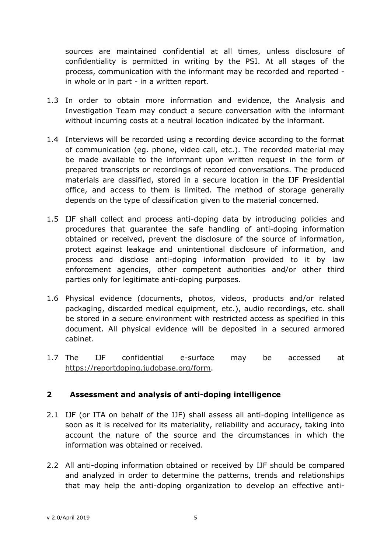sources are maintained confidential at all times, unless disclosure of confidentiality is permitted in writing by the PSI. At all stages of the process, communication with the informant may be recorded and reported in whole or in part - in a written report.

- 1.3 In order to obtain more information and evidence, the Analysis and Investigation Team may conduct a secure conversation with the informant without incurring costs at a neutral location indicated by the informant.
- 1.4 Interviews will be recorded using a recording device according to the format of communication (eg. phone, video call, etc.). The recorded material may be made available to the informant upon written request in the form of prepared transcripts or recordings of recorded conversations. The produced materials are classified, stored in a secure location in the IJF Presidential office, and access to them is limited. The method of storage generally depends on the type of classification given to the material concerned.
- 1.5 IJF shall collect and process anti-doping data by introducing policies and procedures that guarantee the safe handling of anti-doping information obtained or received, prevent the disclosure of the source of information, protect against leakage and unintentional disclosure of information, and process and disclose anti-doping information provided to it by law enforcement agencies, other competent authorities and/or other third parties only for legitimate anti-doping purposes.
- 1.6 Physical evidence (documents, photos, videos, products and/or related packaging, discarded medical equipment, etc.), audio recordings, etc. shall be stored in a secure environment with restricted access as specified in this document. All physical evidence will be deposited in a secured armored cabinet.
- 1.7 The IJF confidential e-surface may be accessed at https://reportdoping.judobase.org/form.

# **2 Assessment and analysis of anti-doping intelligence**

- 2.1 IJF (or ITA on behalf of the IJF) shall assess all anti-doping intelligence as soon as it is received for its materiality, reliability and accuracy, taking into account the nature of the source and the circumstances in which the information was obtained or received.
- 2.2 All anti-doping information obtained or received by IJF should be compared and analyzed in order to determine the patterns, trends and relationships that may help the anti-doping organization to develop an effective anti-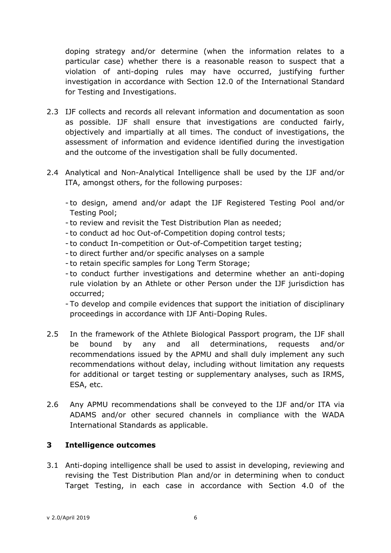doping strategy and/or determine (when the information relates to a particular case) whether there is a reasonable reason to suspect that a violation of anti-doping rules may have occurred, justifying further investigation in accordance with Section 12.0 of the International Standard for Testing and Investigations.

- 2.3 IJF collects and records all relevant information and documentation as soon as possible. IJF shall ensure that investigations are conducted fairly, objectively and impartially at all times. The conduct of investigations, the assessment of information and evidence identified during the investigation and the outcome of the investigation shall be fully documented.
- 2.4 Analytical and Non-Analytical Intelligence shall be used by the IJF and/or ITA, amongst others, for the following purposes:
	- to design, amend and/or adapt the IJF Registered Testing Pool and/or Testing Pool;
	- to review and revisit the Test Distribution Plan as needed;
	- to conduct ad hoc Out-of-Competition doping control tests;
	- to conduct In-competition or Out-of-Competition target testing;
	- to direct further and/or specific analyses on a sample
	- to retain specific samples for Long Term Storage;
	- to conduct further investigations and determine whether an anti-doping rule violation by an Athlete or other Person under the IJF jurisdiction has occurred;
	- To develop and compile evidences that support the initiation of disciplinary proceedings in accordance with IJF Anti-Doping Rules.
- 2.5 In the framework of the Athlete Biological Passport program, the IJF shall be bound by any and all determinations, requests and/or recommendations issued by the APMU and shall duly implement any such recommendations without delay, including without limitation any requests for additional or target testing or supplementary analyses, such as IRMS, ESA, etc.
- 2.6 Any APMU recommendations shall be conveyed to the IJF and/or ITA via ADAMS and/or other secured channels in compliance with the WADA International Standards as applicable.

# **3 Intelligence outcomes**

3.1 Anti-doping intelligence shall be used to assist in developing, reviewing and revising the Test Distribution Plan and/or in determining when to conduct Target Testing, in each case in accordance with Section 4.0 of the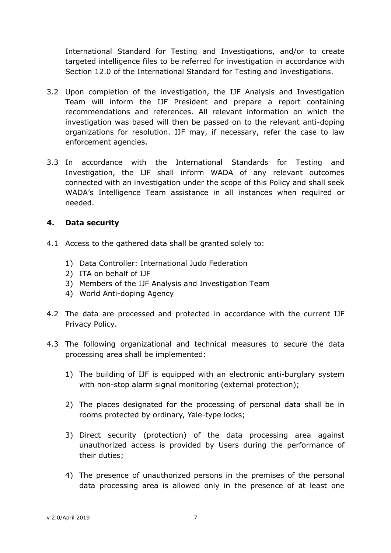International Standard for Testing and Investigations, and/or to create targeted intelligence files to be referred for investigation in accordance with Section 12.0 of the International Standard for Testing and Investigations.

- 3.2 Upon completion of the investigation, the IJF Analysis and Investigation Team will inform the IJF President and prepare a report containing recommendations and references. All relevant information on which the investigation was based will then be passed on to the relevant anti-doping organizations for resolution. IJF may, if necessary, refer the case to law enforcement agencies.
- 3.3 In accordance with the International Standards for Testing and Investigation, the IJF shall inform WADA of any relevant outcomes connected with an investigation under the scope of this Policy and shall seek WADA's Intelligence Team assistance in all instances when required or needed.

## **4. Data security**

- 4.1 Access to the gathered data shall be granted solely to:
	- 1) Data Controller: International Judo Federation
	- 2) ITA on behalf of IJF
	- 3) Members of the IJF Analysis and Investigation Team
	- 4) World Anti-doping Agency
- 4.2 The data are processed and protected in accordance with the current IJF Privacy Policy.
- 4.3 The following organizational and technical measures to secure the data processing area shall be implemented:
	- 1) The building of IJF is equipped with an electronic anti-burglary system with non-stop alarm signal monitoring (external protection);
	- 2) The places designated for the processing of personal data shall be in rooms protected by ordinary, Yale-type locks;
	- 3) Direct security (protection) of the data processing area against unauthorized access is provided by Users during the performance of their duties;
	- 4) The presence of unauthorized persons in the premises of the personal data processing area is allowed only in the presence of at least one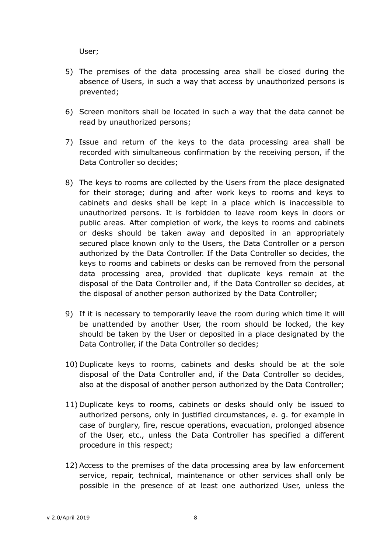User;

- 5) The premises of the data processing area shall be closed during the absence of Users, in such a way that access by unauthorized persons is prevented;
- 6) Screen monitors shall be located in such a way that the data cannot be read by unauthorized persons;
- 7) Issue and return of the keys to the data processing area shall be recorded with simultaneous confirmation by the receiving person, if the Data Controller so decides;
- 8) The keys to rooms are collected by the Users from the place designated for their storage; during and after work keys to rooms and keys to cabinets and desks shall be kept in a place which is inaccessible to unauthorized persons. It is forbidden to leave room keys in doors or public areas. After completion of work, the keys to rooms and cabinets or desks should be taken away and deposited in an appropriately secured place known only to the Users, the Data Controller or a person authorized by the Data Controller. If the Data Controller so decides, the keys to rooms and cabinets or desks can be removed from the personal data processing area, provided that duplicate keys remain at the disposal of the Data Controller and, if the Data Controller so decides, at the disposal of another person authorized by the Data Controller;
- 9) If it is necessary to temporarily leave the room during which time it will be unattended by another User, the room should be locked, the key should be taken by the User or deposited in a place designated by the Data Controller, if the Data Controller so decides;
- 10) Duplicate keys to rooms, cabinets and desks should be at the sole disposal of the Data Controller and, if the Data Controller so decides, also at the disposal of another person authorized by the Data Controller;
- 11) Duplicate keys to rooms, cabinets or desks should only be issued to authorized persons, only in justified circumstances, e. g. for example in case of burglary, fire, rescue operations, evacuation, prolonged absence of the User, etc., unless the Data Controller has specified a different procedure in this respect;
- 12) Access to the premises of the data processing area by law enforcement service, repair, technical, maintenance or other services shall only be possible in the presence of at least one authorized User, unless the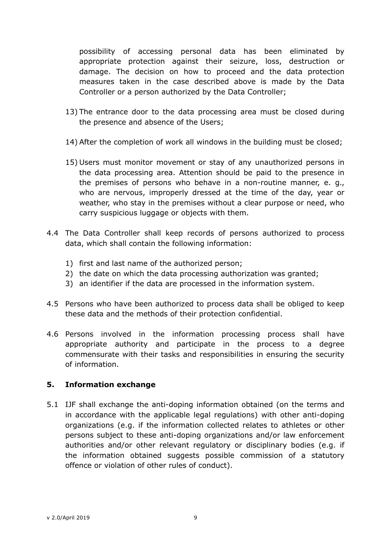possibility of accessing personal data has been eliminated by appropriate protection against their seizure, loss, destruction or damage. The decision on how to proceed and the data protection measures taken in the case described above is made by the Data Controller or a person authorized by the Data Controller;

- 13) The entrance door to the data processing area must be closed during the presence and absence of the Users;
- 14) After the completion of work all windows in the building must be closed;
- 15) Users must monitor movement or stay of any unauthorized persons in the data processing area. Attention should be paid to the presence in the premises of persons who behave in a non-routine manner, e. g., who are nervous, improperly dressed at the time of the day, year or weather, who stay in the premises without a clear purpose or need, who carry suspicious luggage or objects with them.
- 4.4 The Data Controller shall keep records of persons authorized to process data, which shall contain the following information:
	- 1) first and last name of the authorized person;
	- 2) the date on which the data processing authorization was granted;
	- 3) an identifier if the data are processed in the information system.
- 4.5 Persons who have been authorized to process data shall be obliged to keep these data and the methods of their protection confidential.
- 4.6 Persons involved in the information processing process shall have appropriate authority and participate in the process to a degree commensurate with their tasks and responsibilities in ensuring the security of information.

# **5. Information exchange**

5.1 IJF shall exchange the anti-doping information obtained (on the terms and in accordance with the applicable legal regulations) with other anti-doping organizations (e.g. if the information collected relates to athletes or other persons subject to these anti-doping organizations and/or law enforcement authorities and/or other relevant regulatory or disciplinary bodies (e.g. if the information obtained suggests possible commission of a statutory offence or violation of other rules of conduct).